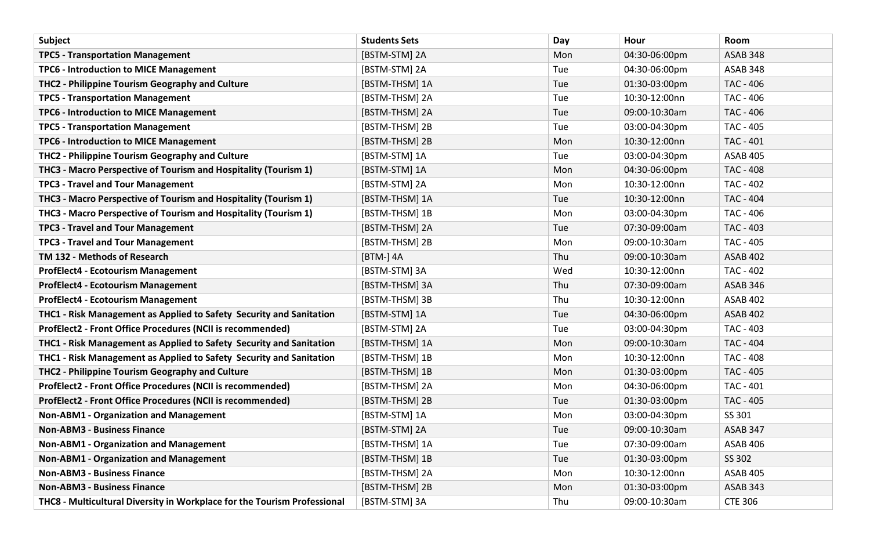| Subject                                                                  | <b>Students Sets</b> | Day | Hour          | Room             |
|--------------------------------------------------------------------------|----------------------|-----|---------------|------------------|
| <b>TPC5 - Transportation Management</b>                                  | [BSTM-STM] 2A        | Mon | 04:30-06:00pm | <b>ASAB 348</b>  |
| <b>TPC6 - Introduction to MICE Management</b>                            | [BSTM-STM] 2A        | Tue | 04:30-06:00pm | ASAB 348         |
| THC2 - Philippine Tourism Geography and Culture                          | [BSTM-THSM] 1A       | Tue | 01:30-03:00pm | TAC - 406        |
| <b>TPC5 - Transportation Management</b>                                  | [BSTM-THSM] 2A       | Tue | 10:30-12:00nn | TAC - 406        |
| TPC6 - Introduction to MICE Management                                   | [BSTM-THSM] 2A       | Tue | 09:00-10:30am | TAC - 406        |
| <b>TPC5 - Transportation Management</b>                                  | [BSTM-THSM] 2B       | Tue | 03:00-04:30pm | TAC - 405        |
| <b>TPC6 - Introduction to MICE Management</b>                            | [BSTM-THSM] 2B       | Mon | 10:30-12:00nn | <b>TAC - 401</b> |
| THC2 - Philippine Tourism Geography and Culture                          | [BSTM-STM] 1A        | Tue | 03:00-04:30pm | <b>ASAB 405</b>  |
| THC3 - Macro Perspective of Tourism and Hospitality (Tourism 1)          | [BSTM-STM] 1A        | Mon | 04:30-06:00pm | <b>TAC - 408</b> |
| <b>TPC3 - Travel and Tour Management</b>                                 | [BSTM-STM] 2A        | Mon | 10:30-12:00nn | <b>TAC - 402</b> |
| THC3 - Macro Perspective of Tourism and Hospitality (Tourism 1)          | [BSTM-THSM] 1A       | Tue | 10:30-12:00nn | <b>TAC - 404</b> |
| THC3 - Macro Perspective of Tourism and Hospitality (Tourism 1)          | [BSTM-THSM] 1B       | Mon | 03:00-04:30pm | TAC - 406        |
| <b>TPC3 - Travel and Tour Management</b>                                 | [BSTM-THSM] 2A       | Tue | 07:30-09:00am | <b>TAC - 403</b> |
| <b>TPC3 - Travel and Tour Management</b>                                 | [BSTM-THSM] 2B       | Mon | 09:00-10:30am | <b>TAC - 405</b> |
| TM 132 - Methods of Research                                             | [BTM-] 4A            | Thu | 09:00-10:30am | <b>ASAB 402</b>  |
| <b>ProfElect4 - Ecotourism Management</b>                                | [BSTM-STM] 3A        | Wed | 10:30-12:00nn | TAC - 402        |
| <b>ProfElect4 - Ecotourism Management</b>                                | [BSTM-THSM] 3A       | Thu | 07:30-09:00am | ASAB 346         |
| <b>ProfElect4 - Ecotourism Management</b>                                | [BSTM-THSM] 3B       | Thu | 10:30-12:00nn | ASAB 402         |
| THC1 - Risk Management as Applied to Safety Security and Sanitation      | [BSTM-STM] 1A        | Tue | 04:30-06:00pm | ASAB 402         |
| ProfElect2 - Front Office Procedures (NCII is recommended)               | [BSTM-STM] 2A        | Tue | 03:00-04:30pm | TAC - 403        |
| THC1 - Risk Management as Applied to Safety Security and Sanitation      | [BSTM-THSM] 1A       | Mon | 09:00-10:30am | <b>TAC - 404</b> |
| THC1 - Risk Management as Applied to Safety Security and Sanitation      | [BSTM-THSM] 1B       | Mon | 10:30-12:00nn | TAC - 408        |
| THC2 - Philippine Tourism Geography and Culture                          | [BSTM-THSM] 1B       | Mon | 01:30-03:00pm | <b>TAC - 405</b> |
| ProfElect2 - Front Office Procedures (NCII is recommended)               | [BSTM-THSM] 2A       | Mon | 04:30-06:00pm | TAC - 401        |
| ProfElect2 - Front Office Procedures (NCII is recommended)               | [BSTM-THSM] 2B       | Tue | 01:30-03:00pm | <b>TAC - 405</b> |
| <b>Non-ABM1 - Organization and Management</b>                            | [BSTM-STM] 1A        | Mon | 03:00-04:30pm | SS 301           |
| <b>Non-ABM3 - Business Finance</b>                                       | [BSTM-STM] 2A        | Tue | 09:00-10:30am | <b>ASAB 347</b>  |
| <b>Non-ABM1 - Organization and Management</b>                            | [BSTM-THSM] 1A       | Tue | 07:30-09:00am | <b>ASAB 406</b>  |
| <b>Non-ABM1 - Organization and Management</b>                            | [BSTM-THSM] 1B       | Tue | 01:30-03:00pm | SS 302           |
| <b>Non-ABM3 - Business Finance</b>                                       | [BSTM-THSM] 2A       | Mon | 10:30-12:00nn | <b>ASAB 405</b>  |
| <b>Non-ABM3 - Business Finance</b>                                       | [BSTM-THSM] 2B       | Mon | 01:30-03:00pm | <b>ASAB 343</b>  |
| THC8 - Multicultural Diversity in Workplace for the Tourism Professional | [BSTM-STM] 3A        | Thu | 09:00-10:30am | <b>CTE 306</b>   |